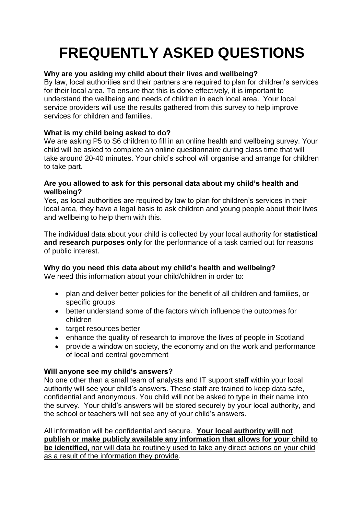# **FREQUENTLY ASKED QUESTIONS**

## **Why are you asking my child about their lives and wellbeing?**

By law, local authorities and their partners are required to plan for children's services for their local area. To ensure that this is done effectively, it is important to understand the wellbeing and needs of children in each local area. Your local service providers will use the results gathered from this survey to help improve services for children and families.

## **What is my child being asked to do?**

We are asking P5 to S6 children to fill in an online health and wellbeing survey. Your child will be asked to complete an online questionnaire during class time that will take around 20-40 minutes. Your child's school will organise and arrange for children to take part.

#### **Are you allowed to ask for this personal data about my child's health and wellbeing?**

Yes, as local authorities are required by law to plan for children's services in their local area, they have a legal basis to ask children and young people about their lives and wellbeing to help them with this.

The individual data about your child is collected by your local authority for **statistical and research purposes only** for the performance of a task carried out for reasons of public interest.

## **Why do you need this data about my child's health and wellbeing?**

We need this information about your child/children in order to:

- plan and deliver better policies for the benefit of all children and families, or specific groups
- better understand some of the factors which influence the outcomes for children
- target resources better
- enhance the quality of research to improve the lives of people in Scotland
- provide a window on society, the economy and on the work and performance of local and central government

## **Will anyone see my child's answers?**

No one other than a small team of analysts and IT support staff within your local authority will see your child's answers. These staff are trained to keep data safe, confidential and anonymous. You child will not be asked to type in their name into the survey. Your child's answers will be stored securely by your local authority, and the school or teachers will not see any of your child's answers.

All information will be confidential and secure. **Your local authority will not publish or make publicly available any information that allows for your child to be identified,** nor will data be routinely used to take any direct actions on your child as a result of the information they provide.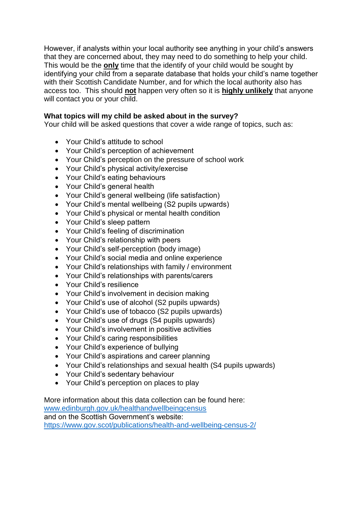However, if analysts within your local authority see anything in your child's answers that they are concerned about, they may need to do something to help your child. This would be the **only** time that the identify of your child would be sought by identifying your child from a separate database that holds your child's name together with their Scottish Candidate Number, and for which the local authority also has access too. This should **not** happen very often so it is **highly unlikely** that anyone will contact you or your child.

#### **What topics will my child be asked about in the survey?**

Your child will be asked questions that cover a wide range of topics, such as:

- Your Child's attitude to school
- Your Child's perception of achievement
- Your Child's perception on the pressure of school work
- Your Child's physical activity/exercise
- Your Child's eating behaviours
- Your Child's general health
- Your Child's general wellbeing (life satisfaction)
- Your Child's mental wellbeing (S2 pupils upwards)
- Your Child's physical or mental health condition
- Your Child's sleep pattern
- Your Child's feeling of discrimination
- Your Child's relationship with peers
- Your Child's self-perception (body image)
- Your Child's social media and online experience
- Your Child's relationships with family / environment
- Your Child's relationships with parents/carers
- Your Child's resilience
- Your Child's involvement in decision making
- Your Child's use of alcohol (S2 pupils upwards)
- Your Child's use of tobacco (S2 pupils upwards)
- Your Child's use of drugs (S4 pupils upwards)
- Your Child's involvement in positive activities
- Your Child's caring responsibilities
- Your Child's experience of bullying
- Your Child's aspirations and career planning
- Your Child's relationships and sexual health (S4 pupils upwards)
- Your Child's sedentary behaviour
- Your Child's perception on places to play

More information about this data collection can be found here: [www.edinburgh.gov.uk/healthandwellbeingcensus](http://www.edinburgh.gov.uk/healthandwellbeingcensus) and on the Scottish Government's website: <https://www.gov.scot/publications/health-and-wellbeing-census-2/>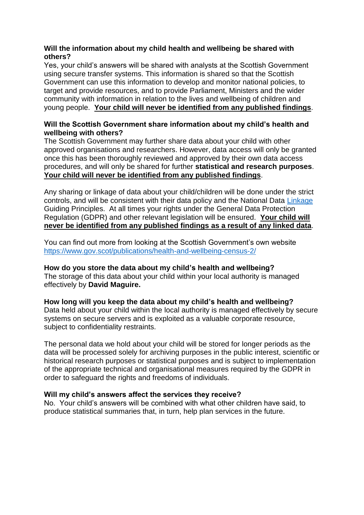### **Will the information about my child health and wellbeing be shared with others?**

Yes, your child's answers will be shared with analysts at the Scottish Government using secure transfer systems. This information is shared so that the Scottish Government can use this information to develop and monitor national policies, to target and provide resources, and to provide Parliament, Ministers and the wider community with information in relation to the lives and wellbeing of children and young people. **Your child will never be identified from any published findings**.

## **Will the Scottish Government share information about my child's health and wellbeing with others?**

The Scottish Government may further share data about your child with other approved organisations and researchers. However, data access will only be granted once this has been thoroughly reviewed and approved by their own data access procedures, and will only be shared for further **statistical and research purposes**. **Your child will never be identified from any published findings**.

Any sharing or linkage of data about your child/children will be done under the strict controls, and will be consistent with their data policy and the National Data [Linkage](http://www.gov.scot/Topics/Statistics/datalinkageframework) Guiding Principles. At all times your rights under the General Data Protection Regulation (GDPR) and other relevant legislation will be ensured. **Your child will never be identified from any published findings as a result of any linked data**.

You can find out more from looking at the Scottish Government's own website <https://www.gov.scot/publications/health-and-wellbeing-census-2/>

**How do you store the data about my child's health and wellbeing?** The storage of this data about your child within your local authority is managed effectively by **David Maguire.**

**How long will you keep the data about my child's health and wellbeing?** Data held about your child within the local authority is managed effectively by secure systems on secure servers and is exploited as a valuable corporate resource, subject to confidentiality restraints.

The personal data we hold about your child will be stored for longer periods as the data will be processed solely for archiving purposes in the public interest, scientific or historical research purposes or statistical purposes and is subject to implementation of the appropriate technical and organisational measures required by the GDPR in order to safeguard the rights and freedoms of individuals.

#### **Will my child's answers affect the services they receive?**

No. Your child's answers will be combined with what other children have said, to produce statistical summaries that, in turn, help plan services in the future.